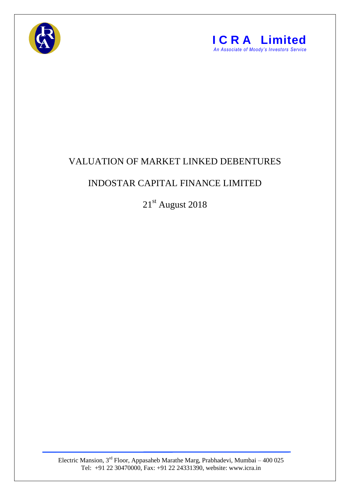



## VALUATION OF MARKET LINKED DEBENTURES

## INDOSTAR CAPITAL FINANCE LIMITED

21st August 2018